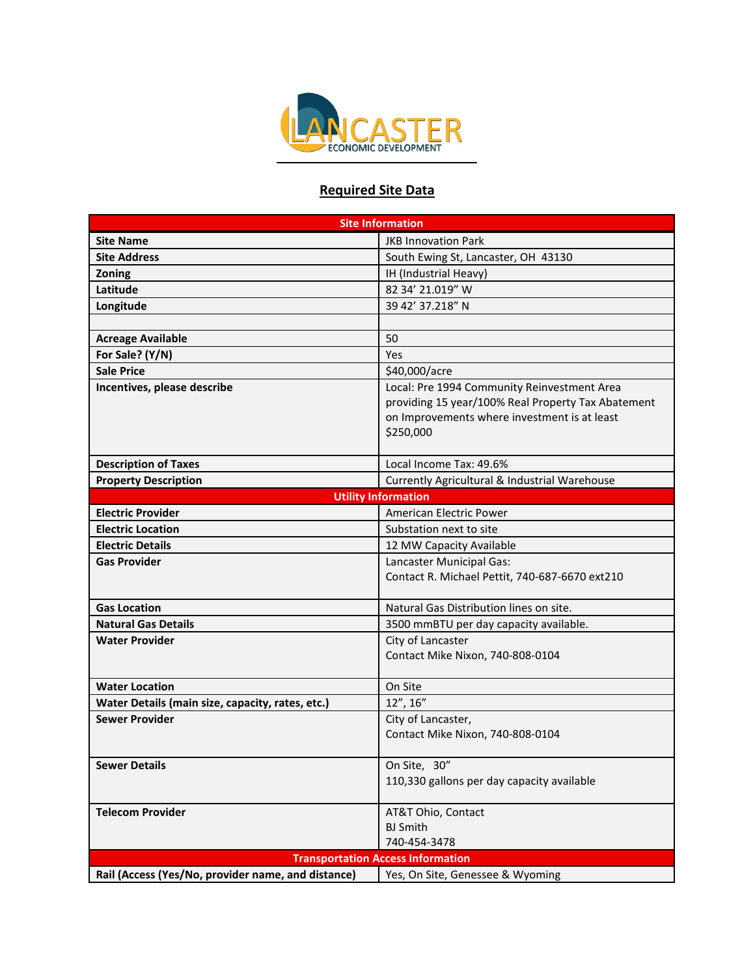

## **Required Site Data**

| <b>Site Information</b>                            |                                                            |
|----------------------------------------------------|------------------------------------------------------------|
| <b>Site Name</b>                                   | <b>JKB Innovation Park</b>                                 |
| <b>Site Address</b>                                | South Ewing St, Lancaster, OH 43130                        |
| Zoning                                             | IH (Industrial Heavy)                                      |
| Latitude                                           | 82 34' 21.019" W                                           |
| Longitude                                          | 39 42' 37.218" N                                           |
|                                                    |                                                            |
| <b>Acreage Available</b>                           | 50                                                         |
| For Sale? (Y/N)                                    | Yes                                                        |
| <b>Sale Price</b>                                  | \$40,000/acre                                              |
| Incentives, please describe                        | Local: Pre 1994 Community Reinvestment Area                |
|                                                    | providing 15 year/100% Real Property Tax Abatement         |
|                                                    | on Improvements where investment is at least               |
|                                                    | \$250,000                                                  |
|                                                    |                                                            |
| <b>Description of Taxes</b>                        | Local Income Tax: 49.6%                                    |
| <b>Property Description</b>                        | Currently Agricultural & Industrial Warehouse              |
| <b>Utility Information</b>                         |                                                            |
| <b>Electric Provider</b>                           | American Electric Power                                    |
| <b>Electric Location</b>                           | Substation next to site                                    |
| <b>Electric Details</b>                            | 12 MW Capacity Available                                   |
| <b>Gas Provider</b>                                | Lancaster Municipal Gas:                                   |
|                                                    | Contact R. Michael Pettit, 740-687-6670 ext210             |
|                                                    |                                                            |
| <b>Gas Location</b>                                | Natural Gas Distribution lines on site.                    |
| <b>Natural Gas Details</b>                         | 3500 mmBTU per day capacity available.                     |
| Water Provider                                     | City of Lancaster                                          |
|                                                    | Contact Mike Nixon, 740-808-0104                           |
|                                                    |                                                            |
| <b>Water Location</b>                              | On Site                                                    |
| Water Details (main size, capacity, rates, etc.)   | $12''$ , $16''$                                            |
| <b>Sewer Provider</b>                              | City of Lancaster,                                         |
|                                                    | Contact Mike Nixon, 740-808-0104                           |
|                                                    |                                                            |
| <b>Sewer Details</b>                               | On Site, 30"<br>110,330 gallons per day capacity available |
|                                                    |                                                            |
| <b>Telecom Provider</b>                            | AT&T Ohio, Contact                                         |
|                                                    | <b>BJ</b> Smith                                            |
|                                                    | 740-454-3478                                               |
| <b>Transportation Access Information</b>           |                                                            |
| Rail (Access (Yes/No, provider name, and distance) | Yes, On Site, Genessee & Wyoming                           |